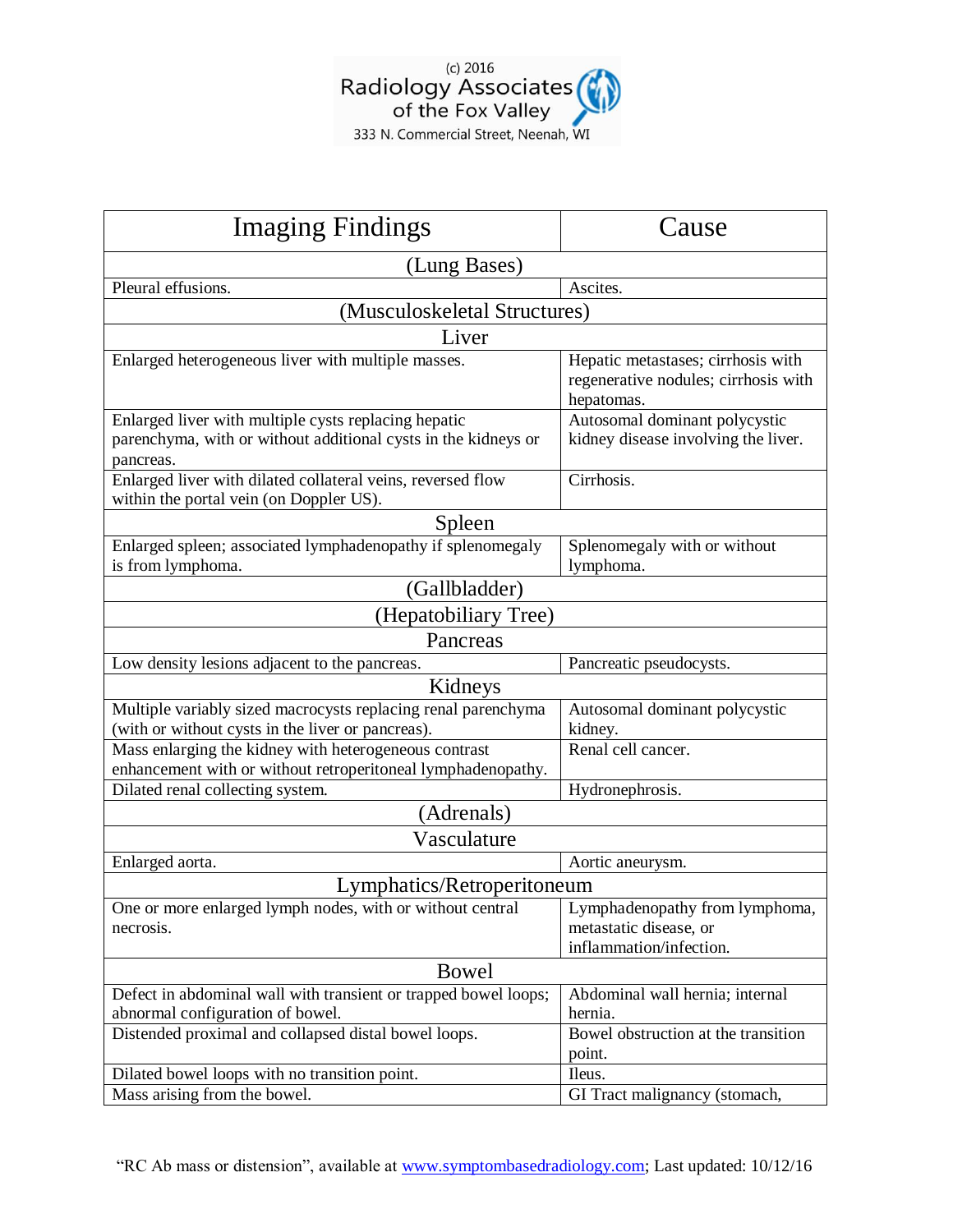

| <b>Imaging Findings</b>                                                                                                             | Cause                                                                                    |
|-------------------------------------------------------------------------------------------------------------------------------------|------------------------------------------------------------------------------------------|
| (Lung Bases)                                                                                                                        |                                                                                          |
| Pleural effusions.                                                                                                                  | Ascites.                                                                                 |
| (Musculoskeletal Structures)                                                                                                        |                                                                                          |
| Liver                                                                                                                               |                                                                                          |
| Enlarged heterogeneous liver with multiple masses.                                                                                  | Hepatic metastases; cirrhosis with<br>regenerative nodules; cirrhosis with<br>hepatomas. |
| Enlarged liver with multiple cysts replacing hepatic<br>parenchyma, with or without additional cysts in the kidneys or<br>pancreas. | Autosomal dominant polycystic<br>kidney disease involving the liver.                     |
| Enlarged liver with dilated collateral veins, reversed flow<br>within the portal vein (on Doppler US).                              | Cirrhosis.                                                                               |
| Spleen                                                                                                                              |                                                                                          |
| Enlarged spleen; associated lymphadenopathy if splenomegaly<br>is from lymphoma.                                                    | Splenomegaly with or without<br>lymphoma.                                                |
| (Gallbladder)                                                                                                                       |                                                                                          |
| (Hepatobiliary Tree)                                                                                                                |                                                                                          |
| Pancreas                                                                                                                            |                                                                                          |
| Low density lesions adjacent to the pancreas.                                                                                       | Pancreatic pseudocysts.                                                                  |
| Kidneys                                                                                                                             |                                                                                          |
| Multiple variably sized macrocysts replacing renal parenchyma<br>(with or without cysts in the liver or pancreas).                  | Autosomal dominant polycystic<br>kidney.                                                 |
| Mass enlarging the kidney with heterogeneous contrast<br>enhancement with or without retroperitoneal lymphadenopathy.               | Renal cell cancer.                                                                       |
| Dilated renal collecting system.                                                                                                    | Hydronephrosis.                                                                          |
| (Adrenals)                                                                                                                          |                                                                                          |
| Vasculature                                                                                                                         |                                                                                          |
| Enlarged aorta.                                                                                                                     | Aortic aneurysm.                                                                         |
| Lymphatics/Retroperitoneum                                                                                                          |                                                                                          |
| One or more enlarged lymph nodes, with or without central                                                                           | Lymphadenopathy from lymphoma,                                                           |
| necrosis.                                                                                                                           | metastatic disease, or                                                                   |
|                                                                                                                                     | inflammation/infection.                                                                  |
| Bowel                                                                                                                               |                                                                                          |
| Defect in abdominal wall with transient or trapped bowel loops;                                                                     | Abdominal wall hernia; internal                                                          |
| abnormal configuration of bowel.<br>Distended proximal and collapsed distal bowel loops.                                            | hernia.<br>Bowel obstruction at the transition                                           |
|                                                                                                                                     | point.                                                                                   |
| Dilated bowel loops with no transition point.                                                                                       | Ileus.                                                                                   |
| Mass arising from the bowel.                                                                                                        | GI Tract malignancy (stomach,                                                            |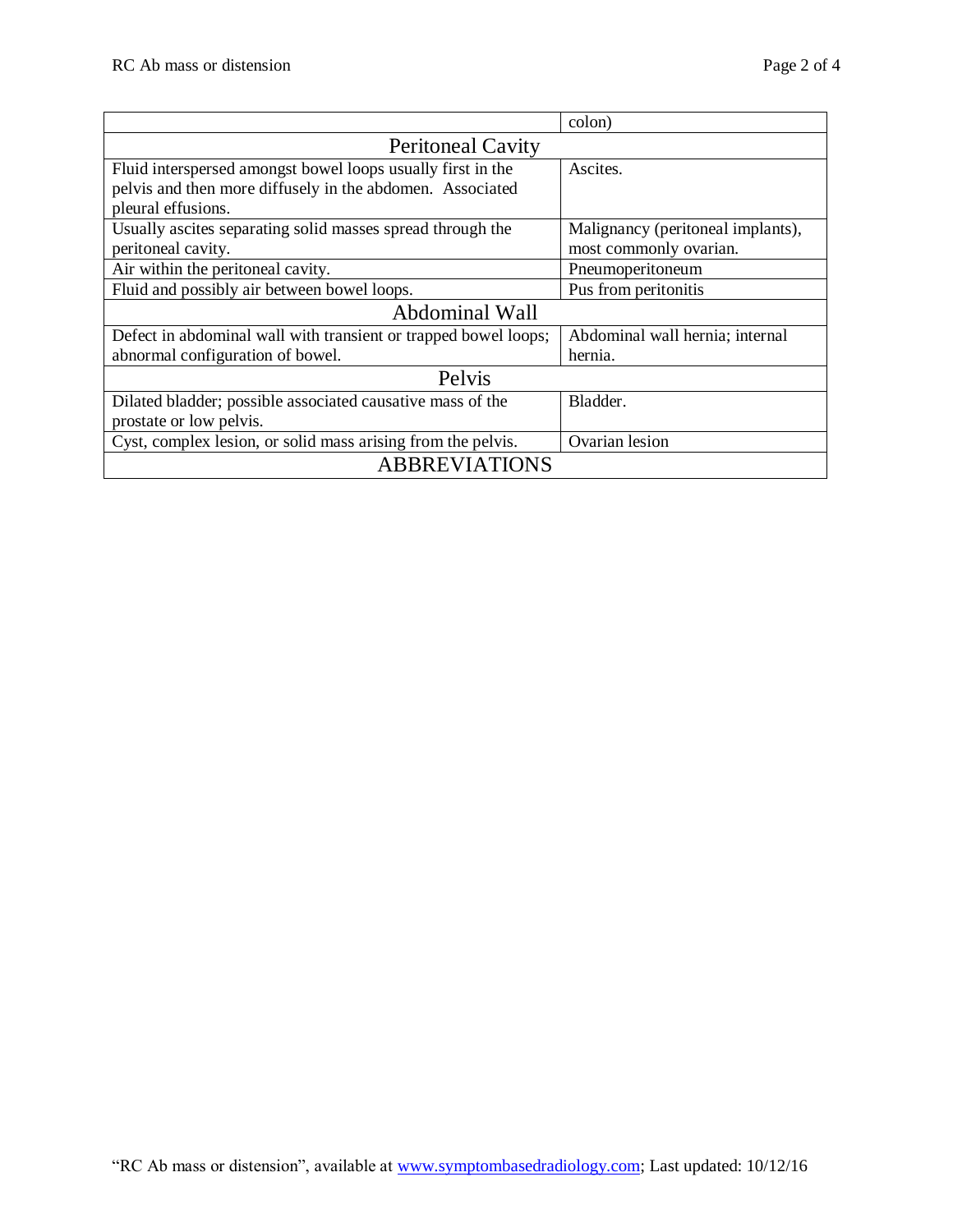|                                                                 | colon)                            |  |
|-----------------------------------------------------------------|-----------------------------------|--|
| <b>Peritoneal Cavity</b>                                        |                                   |  |
| Fluid interspersed amongst bowel loops usually first in the     | Ascites.                          |  |
| pelvis and then more diffusely in the abdomen. Associated       |                                   |  |
| pleural effusions.                                              |                                   |  |
| Usually ascites separating solid masses spread through the      | Malignancy (peritoneal implants), |  |
| peritoneal cavity.                                              | most commonly ovarian.            |  |
| Air within the peritoneal cavity.                               | Pneumoperitoneum                  |  |
| Fluid and possibly air between bowel loops.                     | Pus from peritonitis              |  |
| Abdominal Wall                                                  |                                   |  |
| Defect in abdominal wall with transient or trapped bowel loops; | Abdominal wall hernia; internal   |  |
| abnormal configuration of bowel.                                | hernia.                           |  |
| Pelvis                                                          |                                   |  |
| Dilated bladder; possible associated causative mass of the      | Bladder.                          |  |
| prostate or low pelvis.                                         |                                   |  |
| Cyst, complex lesion, or solid mass arising from the pelvis.    | Ovarian lesion                    |  |
| <b>ABBREVIATIONS</b>                                            |                                   |  |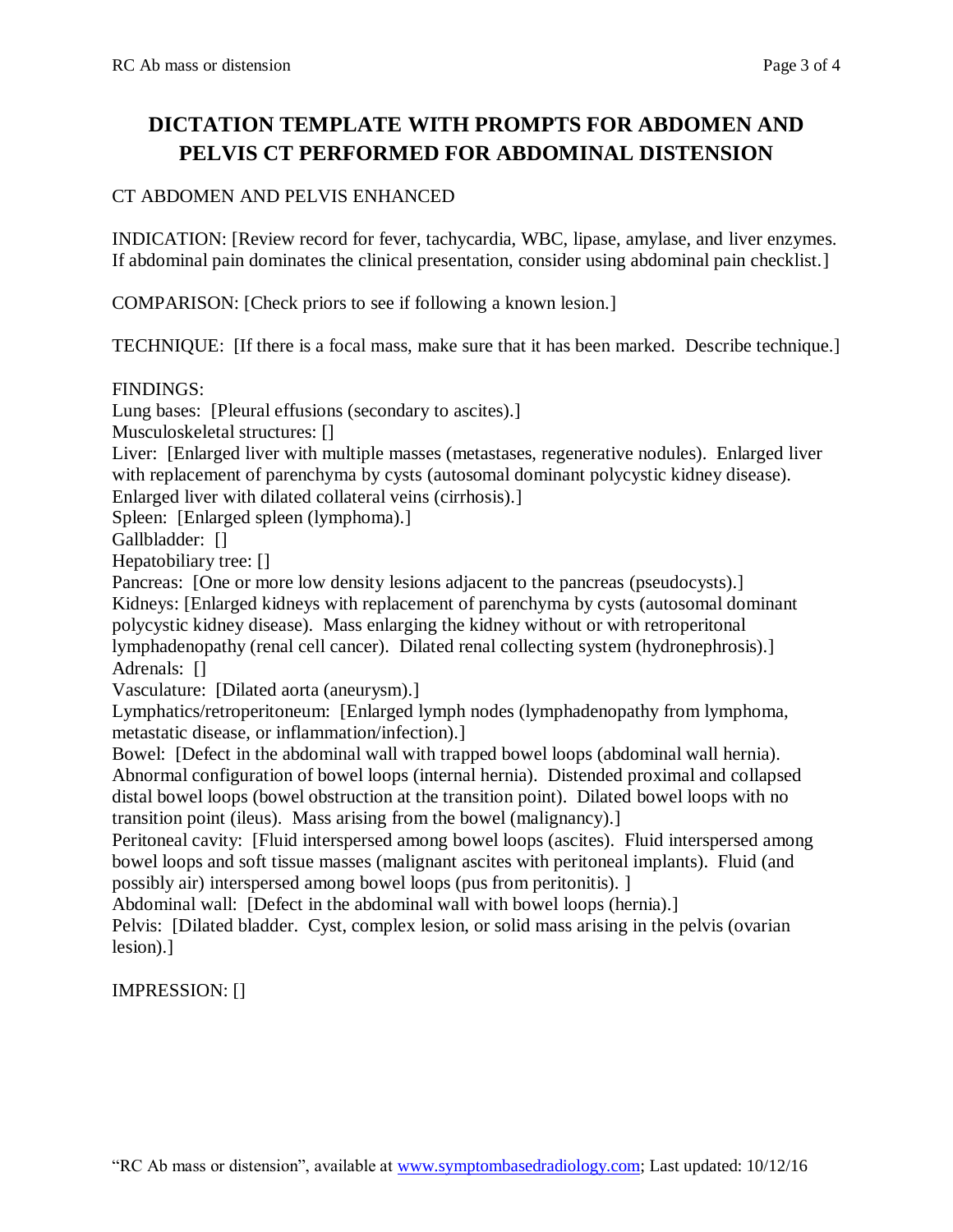## **DICTATION TEMPLATE WITH PROMPTS FOR ABDOMEN AND PELVIS CT PERFORMED FOR ABDOMINAL DISTENSION**

## CT ABDOMEN AND PELVIS ENHANCED

INDICATION: [Review record for fever, tachycardia, WBC, lipase, amylase, and liver enzymes. If abdominal pain dominates the clinical presentation, consider using abdominal pain checklist.]

COMPARISON: [Check priors to see if following a known lesion.]

TECHNIQUE: [If there is a focal mass, make sure that it has been marked. Describe technique.]

FINDINGS:

Lung bases: [Pleural effusions (secondary to ascites).]

Musculoskeletal structures: []

Liver: [Enlarged liver with multiple masses (metastases, regenerative nodules). Enlarged liver with replacement of parenchyma by cysts (autosomal dominant polycystic kidney disease). Enlarged liver with dilated collateral veins (cirrhosis).]

Spleen: [Enlarged spleen (lymphoma).]

Gallbladder: []

Hepatobiliary tree: []

Pancreas: [One or more low density lesions adjacent to the pancreas (pseudocysts).] Kidneys: [Enlarged kidneys with replacement of parenchyma by cysts (autosomal dominant polycystic kidney disease). Mass enlarging the kidney without or with retroperitonal lymphadenopathy (renal cell cancer). Dilated renal collecting system (hydronephrosis).] Adrenals: []

Vasculature: [Dilated aorta (aneurysm).]

Lymphatics/retroperitoneum: [Enlarged lymph nodes (lymphadenopathy from lymphoma, metastatic disease, or inflammation/infection).]

Bowel: [Defect in the abdominal wall with trapped bowel loops (abdominal wall hernia). Abnormal configuration of bowel loops (internal hernia). Distended proximal and collapsed distal bowel loops (bowel obstruction at the transition point). Dilated bowel loops with no transition point (ileus). Mass arising from the bowel (malignancy).]

Peritoneal cavity: [Fluid interspersed among bowel loops (ascites). Fluid interspersed among bowel loops and soft tissue masses (malignant ascites with peritoneal implants). Fluid (and possibly air) interspersed among bowel loops (pus from peritonitis). ]

Abdominal wall: [Defect in the abdominal wall with bowel loops (hernia).]

Pelvis: [Dilated bladder. Cyst, complex lesion, or solid mass arising in the pelvis (ovarian lesion).]

IMPRESSION: []